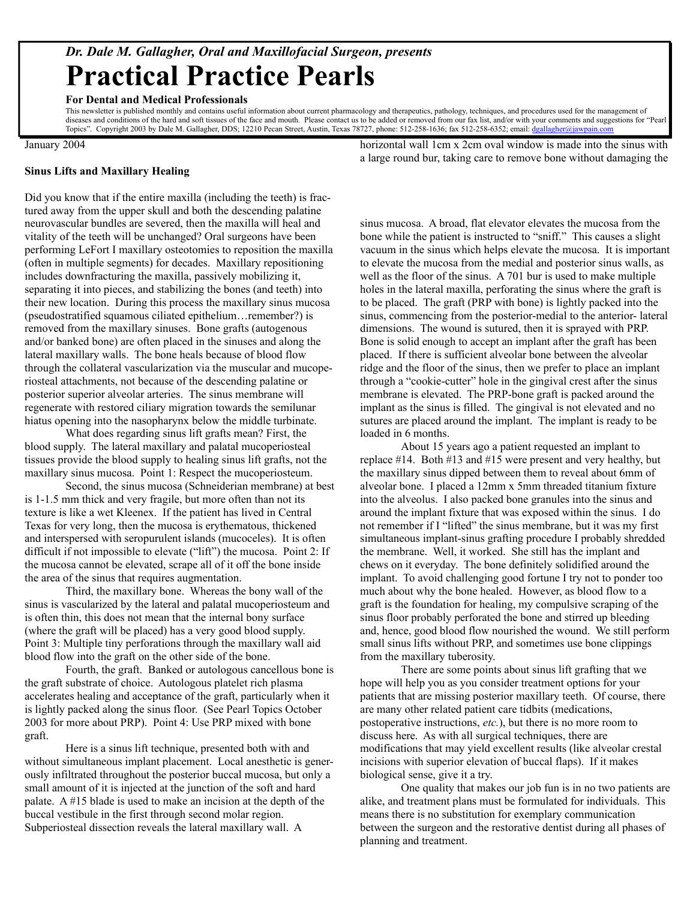## *Dr. Dale M. Gallagher, Oral and Maxillofacial Surgeon, presents* **Practical Practice Pearls**

## **For Dental and Medical Professionals**

This newsletter is published monthly and contains useful information about current pharmacology and therapeutics, pathology, techniques, and procedures used for the management of diseases and conditions of the hard and soft tissues of the face and mouth. Please contact us to be added or removed from our fax list, and/or with your comments and suggestions for "Pearl Topics". Copyright 2003 by Dale M. Gallagher, DDS; 12210 Pecan Street, Austin, Texas 78727, phone: 512-258-1636; fax 512-258-6352; email: [dgallagher@jawpain.com](mailto:dgallagher@jawpain.com)

January 2004

## **Sinus Lifts and Maxillary Healing**

Did you know that if the entire maxilla (including the teeth) is fractured away from the upper skull and both the descending palatine neurovascular bundles are severed, then the maxilla will heal and vitality of the teeth will be unchanged? Oral surgeons have been performing LeFort I maxillary osteotomies to reposition the maxilla (often in multiple segments) for decades. Maxillary repositioning includes downfracturing the maxilla, passively mobilizing it, separating it into pieces, and stabilizing the bones (and teeth) into their new location. During this process the maxillary sinus mucosa (pseudostratified squamous ciliated epithelium…remember?) is removed from the maxillary sinuses. Bone grafts (autogenous and/or banked bone) are often placed in the sinuses and along the lateral maxillary walls. The bone heals because of blood flow through the collateral vascularization via the muscular and mucoperiosteal attachments, not because of the descending palatine or posterior superior alveolar arteries. The sinus membrane will regenerate with restored ciliary migration towards the semilunar hiatus opening into the nasopharynx below the middle turbinate.

What does regarding sinus lift grafts mean? First, the blood supply. The lateral maxillary and palatal mucoperiosteal tissues provide the blood supply to healing sinus lift grafts, not the maxillary sinus mucosa. Point 1: Respect the mucoperiosteum.

Second, the sinus mucosa (Schneiderian membrane) at best is 1-1.5 mm thick and very fragile, but more often than not its texture is like a wet Kleenex. If the patient has lived in Central Texas for very long, then the mucosa is erythematous, thickened and interspersed with seropurulent islands (mucoceles). It is often difficult if not impossible to elevate ("lift") the mucosa. Point 2: If the mucosa cannot be elevated, scrape all of it off the bone inside the area of the sinus that requires augmentation.

Third, the maxillary bone. Whereas the bony wall of the sinus is vascularized by the lateral and palatal mucoperiosteum and is often thin, this does not mean that the internal bony surface (where the graft will be placed) has a very good blood supply. Point 3: Multiple tiny perforations through the maxillary wall aid blood flow into the graft on the other side of the bone.

Fourth, the graft. Banked or autologous cancellous bone is the graft substrate of choice. Autologous platelet rich plasma accelerates healing and acceptance of the graft, particularly when it is lightly packed along the sinus floor. (See Pearl Topics October 2003 for more about PRP). Point 4: Use PRP mixed with bone graft.

Here is a sinus lift technique, presented both with and without simultaneous implant placement. Local anesthetic is generously infiltrated throughout the posterior buccal mucosa, but only a small amount of it is injected at the junction of the soft and hard palate. A #15 blade is used to make an incision at the depth of the buccal vestibule in the first through second molar region. Subperiosteal dissection reveals the lateral maxillary wall. A

horizontal wall 1cm x 2cm oval window is made into the sinus with a large round bur, taking care to remove bone without damaging the

sinus mucosa. A broad, flat elevator elevates the mucosa from the bone while the patient is instructed to "sniff." This causes a slight vacuum in the sinus which helps elevate the mucosa. It is important to elevate the mucosa from the medial and posterior sinus walls, as well as the floor of the sinus. A 701 bur is used to make multiple holes in the lateral maxilla, perforating the sinus where the graft is to be placed. The graft (PRP with bone) is lightly packed into the sinus, commencing from the posterior-medial to the anterior- lateral dimensions. The wound is sutured, then it is sprayed with PRP. Bone is solid enough to accept an implant after the graft has been placed. If there is sufficient alveolar bone between the alveolar ridge and the floor of the sinus, then we prefer to place an implant through a "cookie-cutter" hole in the gingival crest after the sinus membrane is elevated. The PRP-bone graft is packed around the implant as the sinus is filled. The gingival is not elevated and no sutures are placed around the implant. The implant is ready to be loaded in 6 months.

About 15 years ago a patient requested an implant to replace #14. Both #13 and #15 were present and very healthy, but the maxillary sinus dipped between them to reveal about 6mm of alveolar bone. I placed a 12mm x 5mm threaded titanium fixture into the alveolus. I also packed bone granules into the sinus and around the implant fixture that was exposed within the sinus. I do not remember if I "lifted" the sinus membrane, but it was my first simultaneous implant-sinus grafting procedure I probably shredded the membrane. Well, it worked. She still has the implant and chews on it everyday. The bone definitely solidified around the implant. To avoid challenging good fortune I try not to ponder too much about why the bone healed. However, as blood flow to a graft is the foundation for healing, my compulsive scraping of the sinus floor probably perforated the bone and stirred up bleeding and, hence, good blood flow nourished the wound. We still perform small sinus lifts without PRP, and sometimes use bone clippings from the maxillary tuberosity.

There are some points about sinus lift grafting that we hope will help you as you consider treatment options for your patients that are missing posterior maxillary teeth. Of course, there are many other related patient care tidbits (medications, postoperative instructions, *etc.*), but there is no more room to discuss here. As with all surgical techniques, there are modifications that may yield excellent results (like alveolar crestal incisions with superior elevation of buccal flaps). If it makes biological sense, give it a try.

One quality that makes our job fun is in no two patients are alike, and treatment plans must be formulated for individuals. This means there is no substitution for exemplary communication between the surgeon and the restorative dentist during all phases of planning and treatment.